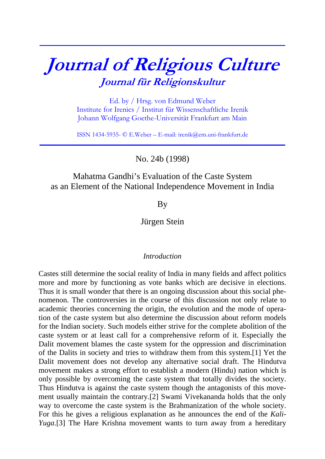# **Journal of Religious Culture Journal für Religionskultur**

**\_\_\_\_\_\_\_\_\_\_\_\_\_\_\_\_\_\_\_\_\_\_\_\_\_\_\_\_\_\_\_\_\_\_\_\_\_\_\_\_\_\_\_\_\_\_\_\_\_\_\_\_\_\_\_\_\_\_\_\_\_\_\_\_\_\_\_\_\_\_\_\_\_\_\_**

Ed. by / Hrsg. von Edmund Weber Institute for Irenics / Institut für Wissenschaftliche Irenik Johann Wolfgang Goethe-Universität Frankfurt am Main

ISSN 1434-5935- © E.Weber – E-mail: irenik@em.uni-frankfurt.de **\_\_\_\_\_\_\_\_\_\_\_\_\_\_\_\_\_\_\_\_\_\_\_\_\_\_\_\_\_\_\_\_\_\_\_\_\_\_\_\_\_\_\_\_\_\_\_\_\_\_\_\_\_\_\_\_\_\_\_\_\_\_\_\_\_\_\_\_\_\_\_\_\_\_\_**

No. 24b (1998)

# Mahatma Gandhi's Evaluation of the Caste System as an Element of the National Independence Movement in India

**B**<sub>V</sub>

Jürgen Stein

## *Introduction*

Castes still determine the social reality of India in many fields and affect politics more and more by functioning as vote banks which are decisive in elections. Thus it is small wonder that there is an ongoing discussion about this social phenomenon. The controversies in the course of this discussion not only relate to academic theories concerning the origin, the evolution and the mode of operation of the caste system but also determine the discussion about reform models for the Indian society. Such models either strive for the complete abolition of the caste system or at least call for a comprehensive reform of it. Especially the Dalit movement blames the caste system for the oppression and discrimination of the Dalits in society and tries to withdraw them from this system.[1] Yet the Dalit movement does not develop any alternative social draft. The Hindutva movement makes a strong effort to establish a modern (Hindu) nation which is only possible by overcoming the caste system that totally divides the society. Thus Hindutva is against the caste system though the antagonists of this movement usually maintain the contrary.[2] Swami Vivekananda holds that the only way to overcome the caste system is the Brahmanization of the whole society. For this he gives a religious explanation as he announces the end of the *Kali-Yuga*.[3] The Hare Krishna movement wants to turn away from a hereditary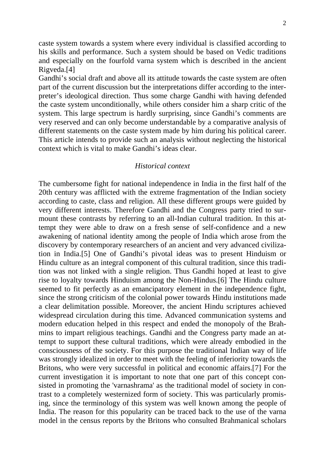caste system towards a system where every individual is classified according to his skills and performance. Such a system should be based on Vedic traditions and especially on the fourfold varna system which is described in the ancient Rigveda.[4]

Gandhi's social draft and above all its attitude towards the caste system are often part of the current discussion but the interpretations differ according to the interpreter's ideological direction. Thus some charge Gandhi with having defended the caste system unconditionally, while others consider him a sharp critic of the system. This large spectrum is hardly surprising, since Gandhi's comments are very reserved and can only become understandable by a comparative analysis of different statements on the caste system made by him during his political career. This article intends to provide such an analysis without neglecting the historical context which is vital to make Gandhi's ideas clear.

#### *Historical context*

The cumbersome fight for national independence in India in the first half of the 20th century was afflicted with the extreme fragmentation of the Indian society according to caste, class and religion. All these different groups were guided by very different interests. Therefore Gandhi and the Congress party tried to surmount these contrasts by referring to an all-Indian cultural tradition. In this attempt they were able to draw on a fresh sense of self-confidence and a new awakening of national identity among the people of India which arose from the discovery by contemporary researchers of an ancient and very advanced civilization in India.[5] One of Gandhi's pivotal ideas was to present Hinduism or Hindu culture as an integral component of this cultural tradition, since this tradition was not linked with a single religion. Thus Gandhi hoped at least to give rise to loyalty towards Hinduism among the Non-Hindus.[6] The Hindu culture seemed to fit perfectly as an emancipatory element in the independence fight, since the strong criticism of the colonial power towards Hindu institutions made a clear delimitation possible. Moreover, the ancient Hindu scriptures achieved widespread circulation during this time. Advanced communication systems and modern education helped in this respect and ended the monopoly of the Brahmins to impart religious teachings. Gandhi and the Congress party made an attempt to support these cultural traditions, which were already embodied in the consciousness of the society. For this purpose the traditional Indian way of life was strongly idealized in order to meet with the feeling of inferiority towards the Britons, who were very successful in political and economic affairs.[7] For the current investigation it is important to note that one part of this concept consisted in promoting the 'varnashrama' as the traditional model of society in contrast to a completely westernized form of society. This was particularly promising, since the terminology of this system was well known among the people of India. The reason for this popularity can be traced back to the use of the varna model in the census reports by the Britons who consulted Brahmanical scholars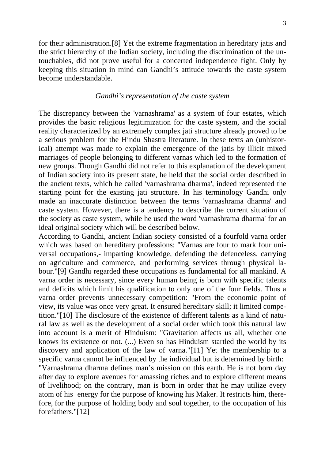for their administration.[8] Yet the extreme fragmentation in hereditary jatis and the strict hierarchy of the Indian society, including the discrimination of the untouchables, did not prove useful for a concerted independence fight. Only by keeping this situation in mind can Gandhi's attitude towards the caste system become understandable.

#### *Gandhi's representation of the caste system*

The discrepancy between the 'varnashrama' as a system of four estates, which provides the basic religious legitimization for the caste system, and the social reality characterized by an extremely complex jati structure already proved to be a serious problem for the Hindu Shastra literature. In these texts an (unhistorical) attempt was made to explain the emergence of the jatis by illicit mixed marriages of people belonging to different varnas which led to the formation of new groups. Though Gandhi did not refer to this explanation of the development of Indian society into its present state, he held that the social order described in the ancient texts, which he called 'varnashrama dharma', indeed represented the starting point for the existing jati structure. In his terminology Gandhi only made an inaccurate distinction between the terms 'varnashrama dharma' and caste system. However, there is a tendency to describe the current situation of the society as caste system, while he used the word 'varnashrama dharma' for an ideal original society which will be described below.

According to Gandhi, ancient Indian society consisted of a fourfold varna order which was based on hereditary professions: "Varnas are four to mark four universal occupations,- imparting knowledge, defending the defenceless, carrying on agriculture and commerce, and performing services through physical labour."[9] Gandhi regarded these occupations as fundamental for all mankind. A varna order is necessary, since every human being is born with specific talents and deficits which limit his qualification to only one of the four fields. Thus a varna order prevents unnecessary competition: "From the economic point of view, its value was once very great. It ensured hereditary skill; it limited competition."[10] The disclosure of the existence of different talents as a kind of natural law as well as the development of a social order which took this natural law into account is a merit of Hinduism: "Gravitation affects us all, whether one knows its existence or not. (...) Even so has Hinduism startled the world by its discovery and application of the law of varna."[11] Yet the membership to a specific varna cannot be influenced by the individual but is determined by birth:

"Varnashrama dharma defines man's mission on this earth. He is not born day after day to explore avenues for amassing riches and to explore different means of livelihood; on the contrary, man is born in order that he may utilize every atom of his energy for the purpose of knowing his Maker. It restricts him, therefore, for the purpose of holding body and soul together, to the occupation of his forefathers."[12]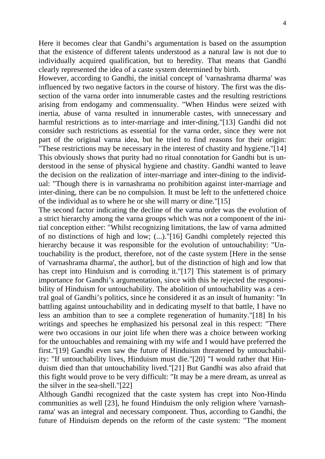Here it becomes clear that Gandhi's argumentation is based on the assumption that the existence of different talents understood as a natural law is not due to individually acquired qualification, but to heredity. That means that Gandhi clearly represented the idea of a caste system determined by birth.

However, according to Gandhi, the initial concept of 'varnashrama dharma' was influenced by two negative factors in the course of history. The first was the dissection of the varna order into innumerable castes and the resulting restrictions arising from endogamy and commensuality. "When Hindus were seized with inertia, abuse of varna resulted in innumerable castes, with unnecessary and harmful restrictions as to inter-marriage and inter-dining."[13] Gandhi did not consider such restrictions as essential for the varna order, since they were not part of the original varna idea, but he tried to find reasons for their origin: "These restrictions may be necessary in the interest of chastity and hygiene."[14] This obviously shows that purity had no ritual connotation for Gandhi but is understood in the sense of physical hygiene and chastity. Gandhi wanted to leave the decision on the realization of inter-marriage and inter-dining to the individual: "Though there is in varnashrama no prohibition against inter-marriage and inter-dining, there can be no compulsion. It must be left to the unfettered choice of the individual as to where he or she will marry or dine."[15]

The second factor indicating the decline of the varna order was the evolution of a strict hierarchy among the varna groups which was not a component of the initial conception either: "Whilst recognizing limitations, the law of varna admitted of no distinctions of high and low; (...)."[16] Gandhi completely rejected this hierarchy because it was responsible for the evolution of untouchability: "Untouchability is the product, therefore, not of the caste system [Here in the sense of 'varnashrama dharma', the author], but of the distinction of high and low that has crept into Hinduism and is corroding it."[17] This statement is of primary importance for Gandhi's argumentation, since with this he rejected the responsibility of Hinduism for untouchability. The abolition of untouchability was a central goal of Gandhi's politics, since he considered it as an insult of humanity: "In battling against untouchability and in dedicating myself to that battle, I have no less an ambition than to see a complete regeneration of humanity."[18] In his writings and speeches he emphasized his personal zeal in this respect: "There were two occasions in our joint life when there was a choice between working for the untouchables and remaining with my wife and I would have preferred the first."[19] Gandhi even saw the future of Hinduism threatened by untouchability: "If untouchability lives, Hinduism must die."[20] "I would rather that Hinduism died than that untouchability lived."[21] But Gandhi was also afraid that this fight would prove to be very difficult: "It may be a mere dream, as unreal as the silver in the sea-shell."[22]

Although Gandhi recognized that the caste system has crept into Non-Hindu communities as well [23], he found Hinduism the only religion where 'varnashrama' was an integral and necessary component. Thus, according to Gandhi, the future of Hinduism depends on the reform of the caste system: "The moment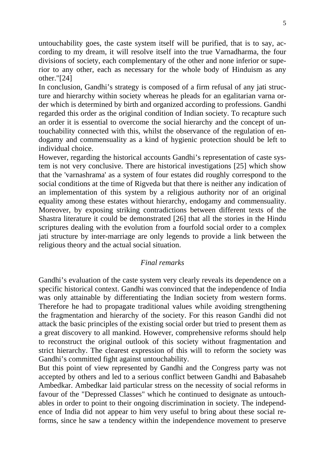untouchability goes, the caste system itself will be purified, that is to say, according to my dream, it will resolve itself into the true Varnadharma, the four divisions of society, each complementary of the other and none inferior or superior to any other, each as necessary for the whole body of Hinduism as any other."[24]

In conclusion, Gandhi's strategy is composed of a firm refusal of any jati structure and hierarchy within society whereas he pleads for an egalitarian varna order which is determined by birth and organized according to professions. Gandhi regarded this order as the original condition of Indian society. To recapture such an order it is essential to overcome the social hierarchy and the concept of untouchability connected with this, whilst the observance of the regulation of endogamy and commensuality as a kind of hygienic protection should be left to individual choice.

However, regarding the historical accounts Gandhi's representation of caste system is not very conclusive. There are historical investigations [25] which show that the 'varnashrama' as a system of four estates did roughly correspond to the social conditions at the time of Rigveda but that there is neither any indication of an implementation of this system by a religious authority nor of an original equality among these estates without hierarchy, endogamy and commensuality. Moreover, by exposing striking contradictions between different texts of the Shastra literature it could be demonstrated [26] that all the stories in the Hindu scriptures dealing with the evolution from a fourfold social order to a complex jati structure by inter-marriage are only legends to provide a link between the religious theory and the actual social situation.

## *Final remarks*

Gandhi's evaluation of the caste system very clearly reveals its dependence on a specific historical context. Gandhi was convinced that the independence of India was only attainable by differentiating the Indian society from western forms. Therefore he had to propagate traditional values while avoiding strengthening the fragmentation and hierarchy of the society. For this reason Gandhi did not attack the basic principles of the existing social order but tried to present them as a great discovery to all mankind. However, comprehensive reforms should help to reconstruct the original outlook of this society without fragmentation and strict hierarchy. The clearest expression of this will to reform the society was Gandhi's committed fight against untouchability.

But this point of view represented by Gandhi and the Congress party was not accepted by others and led to a serious conflict between Gandhi and Babasaheb Ambedkar. Ambedkar laid particular stress on the necessity of social reforms in favour of the "Depressed Classes" which he continued to designate as untouchables in order to point to their ongoing discrimination in society. The independence of India did not appear to him very useful to bring about these social reforms, since he saw a tendency within the independence movement to preserve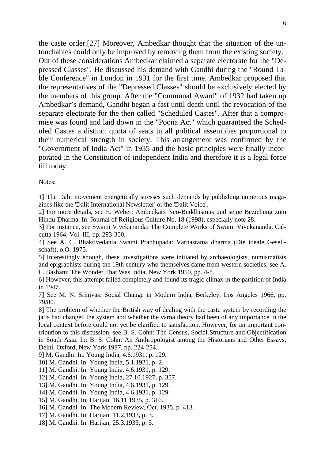the caste order.[27] Moreover, Ambedkar thought that the situation of the untouchables could only be improved by removing them from the existing society. Out of these considerations Ambedkar claimed a separate electorate for the "Depressed Classes". He discussed his demand with Gandhi during the "Round Table Conference" in London in 1931 for the first time. Ambedkar proposed that the representatives of the "Depressed Classes" should be exclusively elected by the members of this group. After the "Communal Award" of 1932 had taken up Ambedkar's demand, Gandhi began a fast until death until the revocation of the separate electorate for the then called "Scheduled Castes". After that a compromise was found and laid down in the "Poona Act" which guaranteed the Scheduled Castes a distinct quota of seats in all political assemblies proportional to their numerical strength in society. This arrangement was confirmed by the "Government of India Act" in 1935 and the basic principles were finally incorporated in the Constitution of independent India and therefore it is a legal force till today.

Notes:

1] The Dalit movement energetically stresses such demands by publishing numerous magazines like the 'Dalit International Newsletter' or the 'Dalit Voice'.

2] For more details, see E. Weber: Ambedkars Neo-Buddhismus und seine Beziehung zum Hindu-Dharma. In: Journal of Religious Culture No. 18 (1998), especially note 28.

3] For instance, see Swami Vivekananda: The Complete Works of Swami Vivekananda, Calcutta 1964, Vol. III, pp. 293-300.

4] See A. C. Bhaktivedanta Swami Prabhupada: Varnasrama dharma (Die ideale Gesellschaft), o.O. 1975.

5] Interestingly enough, these investigations were initiated by archaeologists, numismatists and epigraphists during the 19th century who themselves came from western societies, see A. L. Basham: The Wonder That Was India, New York 1959, pp. 4-8.

6] However, this attempt failed completely and found its tragic climax in the partition of India in 1947.

7] See M. N. Srinivas: Social Change in Modern India, Berkeley, Los Angeles 1966, pp. 79/80.

8] The problem of whether the British way of dealing with the caste system by recording the jatis had changed the system and whether the varna theory had been of any importance in the local context before could not yet be clarified to satisfaction. However, for an important contribution to this discussion, see B. S. Cohn: The Census, Social Structure and Objectification in South Asia. In: B. S. Cohn: An Anthropologist among the Historians and Other Essays, Delhi, Oxford, New York 1987, pp. 224-254.

9] M. Gandhi. In: Young India, 4.6.1931, p. 129.

- 10] M. Gandhi. In: Young India, 5.1.1921, p. 2.
- 11] M. Gandhi. In: Young India, 4.6.1931, p. 129.
- 12] M. Gandhi. In: Young India, 27.10.1927, p. 357.
- 13] M. Gandhi. In: Young India, 4.6.1931, p. 129.
- 14] M. Gandhi. In: Young India, 4.6.1931, p. 129.
- 15] M. Gandhi. In: Harijan, 16.11.1935, p. 316.
- 16] M. Gandhi. In: The Modern Review, Oct. 1935, p. 413.
- 17] M. Gandhi. In: Harijan, 11.2.1933, p. 3.
- 18] M. Gandhi. In: Harijan, 25.3.1933, p. 3.